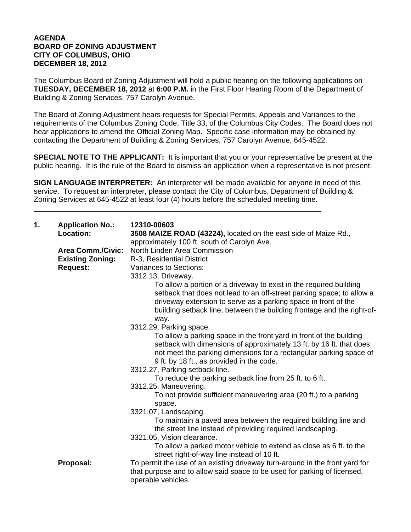## **AGENDA BOARD OF ZONING ADJUSTMENT CITY OF COLUMBUS, OHIO DECEMBER 18, 2012**

The Columbus Board of Zoning Adjustment will hold a public hearing on the following applications on **TUESDAY, DECEMBER 18, 2012** at **6:00 P.M.** in the First Floor Hearing Room of the Department of Building & Zoning Services, 757 Carolyn Avenue.

The Board of Zoning Adjustment hears requests for Special Permits, Appeals and Variances to the requirements of the Columbus Zoning Code, Title 33, of the Columbus City Codes. The Board does not hear applications to amend the Official Zoning Map. Specific case information may be obtained by contacting the Department of Building & Zoning Services, 757 Carolyn Avenue, 645-4522.

**SPECIAL NOTE TO THE APPLICANT:** It is important that you or your representative be present at the public hearing. It is the rule of the Board to dismiss an application when a representative is not present.

**SIGN LANGUAGE INTERPRETER:** An interpreter will be made available for anyone in need of this service. To request an interpreter, please contact the City of Columbus, Department of Building & Zoning Services at 645-4522 at least four (4) hours before the scheduled meeting time.

\_\_\_\_\_\_\_\_\_\_\_\_\_\_\_\_\_\_\_\_\_\_\_\_\_\_\_\_\_\_\_\_\_\_\_\_\_\_\_\_\_\_\_\_\_\_\_\_\_\_\_\_\_\_\_\_\_\_\_\_\_\_\_\_\_\_\_\_\_\_

| 1. | <b>Application No.:</b><br>Location:                                   | 12310-00603<br>3508 MAIZE ROAD (43224), located on the east side of Maize Rd.,<br>approximately 100 ft. south of Carolyn Ave.                                                                                                                                                                                                                                                                                                                                                                                                                                                                                                                                                                                                                                                                                                                                                                                                                                                                                                                                          |
|----|------------------------------------------------------------------------|------------------------------------------------------------------------------------------------------------------------------------------------------------------------------------------------------------------------------------------------------------------------------------------------------------------------------------------------------------------------------------------------------------------------------------------------------------------------------------------------------------------------------------------------------------------------------------------------------------------------------------------------------------------------------------------------------------------------------------------------------------------------------------------------------------------------------------------------------------------------------------------------------------------------------------------------------------------------------------------------------------------------------------------------------------------------|
|    | <b>Area Comm./Civic:</b><br><b>Existing Zoning:</b><br><b>Request:</b> | North Linden Area Commission<br>R-3, Residential District<br>Variances to Sections:<br>3312.13, Driveway.<br>To allow a portion of a driveway to exist in the required building<br>setback that does not lead to an off-street parking space; to allow a<br>driveway extension to serve as a parking space in front of the<br>building setback line, between the building frontage and the right-of-<br>way.<br>3312.29, Parking space.<br>To allow a parking space in the front yard in front of the building<br>setback with dimensions of approximately 13 ft. by 16 ft. that does<br>not meet the parking dimensions for a rectangular parking space of<br>9 ft. by 18 ft., as provided in the code.<br>3312.27, Parking setback line.<br>To reduce the parking setback line from 25 ft. to 6 ft.<br>3312.25, Maneuvering.<br>To not provide sufficient maneuvering area (20 ft.) to a parking<br>space.<br>3321.07, Landscaping.<br>To maintain a paved area between the required building line and<br>the street line instead of providing required landscaping. |
|    |                                                                        | 3321.05, Vision clearance.<br>To allow a parked motor vehicle to extend as close as 6 ft. to the<br>street right-of-way line instead of 10 ft.                                                                                                                                                                                                                                                                                                                                                                                                                                                                                                                                                                                                                                                                                                                                                                                                                                                                                                                         |
|    | Proposal:                                                              | To permit the use of an existing driveway turn-around in the front yard for<br>that purpose and to allow said space to be used for parking of licensed,<br>operable vehicles.                                                                                                                                                                                                                                                                                                                                                                                                                                                                                                                                                                                                                                                                                                                                                                                                                                                                                          |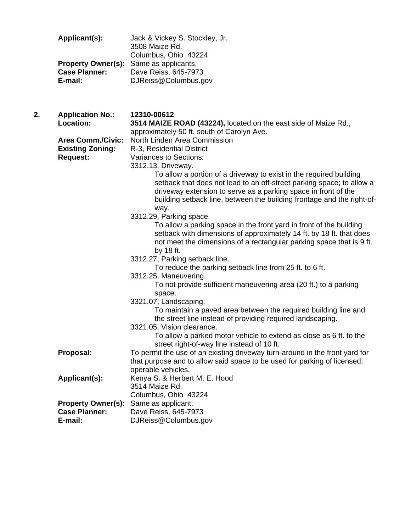| Applicant(s):                   | Jack & Vickey S. Stockley, Jr.<br>3508 Maize Rd.<br>Columbus, Ohio 43224                      |
|---------------------------------|-----------------------------------------------------------------------------------------------|
| <b>Case Planner:</b><br>E-mail: | <b>Property Owner(s):</b> Same as applicants.<br>Dave Reiss, 645-7973<br>DJReiss@Columbus.gov |

**2. Application No.: 12310-00612**

- **Location: 3514 MAIZE ROAD (43224),** located on the east side of Maize Rd., approximately 50 ft. south of Carolyn Ave.  **Area Comm./Civic:** North Linden Area Commission **Existing Zoning:** R-3, Residential District **Request:** Variances to Sections: 3312.13, Driveway. To allow a portion of a driveway to exist in the required building setback that does not lead to an off-street parking space; to allow a driveway extension to serve as a parking space in front of the building setback line, between the building frontage and the right-of way. 3312.29, Parking space. To allow a parking space in the front yard in front of the building setback with dimensions of approximately 14 ft. by 18 ft. that does not meet the dimensions of a rectangular parking space that is 9 ft. by 18 ft. 3312.27, Parking setback line. To reduce the parking setback line from 25 ft. to 6 ft. 3312.25, Maneuvering. To not provide sufficient maneuvering area (20 ft.) to a parking space. 3321.07, Landscaping. To maintain a paved area between the required building line and the street line instead of providing required landscaping. 3321.05, Vision clearance. To allow a parked motor vehicle to extend as close as 6 ft. to the street right-of-way line instead of 10 ft. **Proposal:** To permit the use of an existing driveway turn-around in the front yard for that purpose and to allow said space to be used for parking of licensed, operable vehicles. Applicant(s): Kenya S. & Herbert M. E. Hood 3514 Maize Rd. Columbus, Ohio 43224 **Property Owner(s):** Same as applicant. **Case Planner:** Dave Reiss, 645-7973
	- **E-mail:** DJReiss@Columbus.gov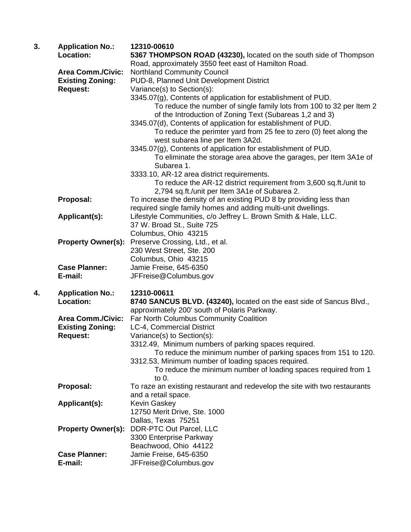| 3. | <b>Application No.:</b><br>Location: | 12310-00610                                                                                                               |
|----|--------------------------------------|---------------------------------------------------------------------------------------------------------------------------|
|    |                                      | 5367 THOMPSON ROAD (43230), located on the south side of Thompson<br>Road, approximately 3550 feet east of Hamilton Road. |
|    | <b>Area Comm./Civic:</b>             |                                                                                                                           |
|    |                                      | <b>Northland Community Council</b><br>PUD-8, Planned Unit Development District                                            |
|    | <b>Existing Zoning:</b>              |                                                                                                                           |
|    | <b>Request:</b>                      | Variance(s) to Section(s):                                                                                                |
|    |                                      | 3345.07(g), Contents of application for establishment of PUD.                                                             |
|    |                                      | To reduce the number of single family lots from 100 to 32 per Item 2                                                      |
|    |                                      | of the Introduction of Zoning Text (Subareas 1,2 and 3)                                                                   |
|    |                                      | 3345.07(d), Contents of application for establishment of PUD.                                                             |
|    |                                      | To reduce the perimter yard from 25 fee to zero (0) feet along the                                                        |
|    |                                      | west subarea line per Item 3A2d.                                                                                          |
|    |                                      | 3345.07(g), Contents of application for establishment of PUD.                                                             |
|    |                                      | To eliminate the storage area above the garages, per Item 3A1e of<br>Subarea 1.                                           |
|    |                                      | 3333.10, AR-12 area district requirements.                                                                                |
|    |                                      | To reduce the AR-12 district requirement from 3,600 sq.ft./unit to                                                        |
|    |                                      | 2,794 sq.ft./unit per Item 3A1e of Subarea 2.                                                                             |
|    | Proposal:                            | To increase the density of an existing PUD 8 by providing less than                                                       |
|    |                                      | required single family homes and adding multi-unit dwellings.                                                             |
|    | Applicant(s):                        | Lifestyle Communities, c/o Jeffrey L. Brown Smith & Hale, LLC.                                                            |
|    |                                      | 37 W. Broad St., Suite 725                                                                                                |
|    |                                      | Columbus, Ohio 43215                                                                                                      |
|    | <b>Property Owner(s):</b>            | Preserve Crossing, Ltd., et al.                                                                                           |
|    |                                      | 230 West Street, Ste. 200                                                                                                 |
|    |                                      | Columbus, Ohio 43215                                                                                                      |
|    | <b>Case Planner:</b>                 | Jamie Freise, 645-6350                                                                                                    |
|    | E-mail:                              | JFFreise@Columbus.gov                                                                                                     |
| 4. | <b>Application No.:</b>              | 12310-00611                                                                                                               |
|    | Location:                            | 8740 SANCUS BLVD. (43240), located on the east side of Sancus Blvd.,                                                      |
|    |                                      | approximately 200' south of Polaris Parkway.                                                                              |
|    | <b>Area Comm./Civic:</b>             | Far North Columbus Community Coalition                                                                                    |
|    | <b>Existing Zoning:</b>              | LC-4, Commercial District                                                                                                 |
|    | <b>Request:</b>                      | Variance(s) to Section(s):                                                                                                |
|    |                                      | 3312.49, Minimum numbers of parking spaces required.                                                                      |
|    |                                      | To reduce the minimum number of parking spaces from 151 to 120.                                                           |
|    |                                      | 3312.53, Minimum number of loading spaces required.                                                                       |
|    |                                      | To reduce the minimum number of loading spaces required from 1                                                            |
|    |                                      | to 0.                                                                                                                     |
|    | Proposal:                            | To raze an existing restaurant and redevelop the site with two restaurants                                                |
|    |                                      | and a retail space.                                                                                                       |
|    | Applicant(s):                        | Kevin Gaskey                                                                                                              |
|    |                                      | 12750 Merit Drive, Ste. 1000                                                                                              |
|    |                                      | Dallas, Texas 75251                                                                                                       |
|    | <b>Property Owner(s):</b>            | DDR-PTC Out Parcel, LLC                                                                                                   |
|    |                                      | 3300 Enterprise Parkway                                                                                                   |
|    |                                      | Beachwood, Ohio 44122                                                                                                     |
|    | <b>Case Planner:</b>                 | Jamie Freise, 645-6350                                                                                                    |
|    | E-mail:                              | JFFreise@Columbus.gov                                                                                                     |